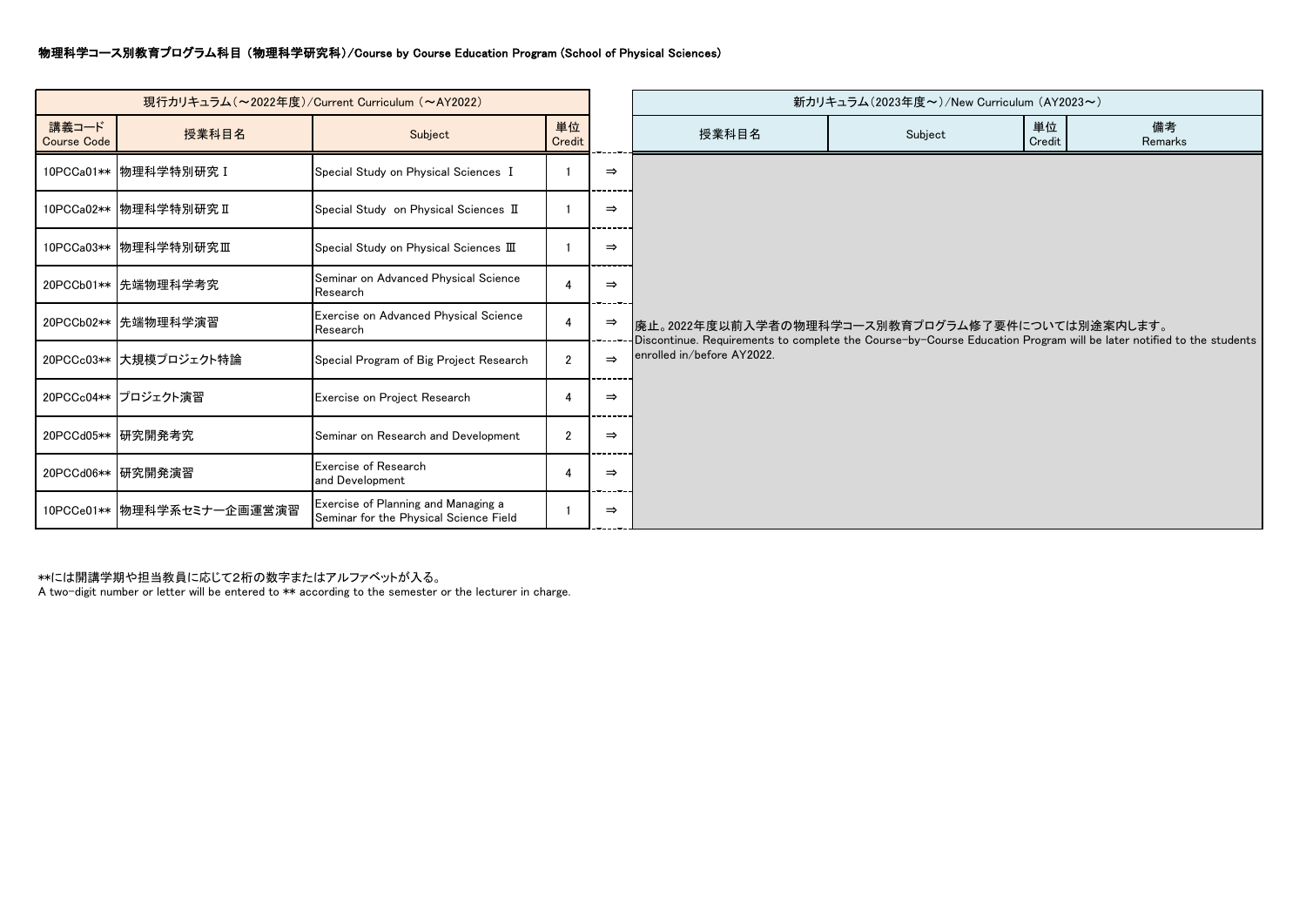## 物理科学コース別教育プログラム科目 (物理科学研究科)/Course by Course Education Program (School of Physical Sciences)

| 現行カリキュラム (~2022年度) / Current Curriculum (~AY2022) |                            |                                                                               |                |               | 新カリキュラム(2023年度~)/New Curriculum (AY2023~)                                                                                                                                                            |         |              |               |  |  |  |
|---------------------------------------------------|----------------------------|-------------------------------------------------------------------------------|----------------|---------------|------------------------------------------------------------------------------------------------------------------------------------------------------------------------------------------------------|---------|--------------|---------------|--|--|--|
| 講義コード<br><b>Course Code</b>                       | 授業科目名                      | Subject                                                                       | 単位<br>Credit   |               | 授業科目名                                                                                                                                                                                                | Subject | 単位<br>Credit | 備考<br>Remarks |  |  |  |
|                                                   | 10PCCa01** 物理科学特別研究 I      | Special Study on Physical Sciences I                                          |                | $\Rightarrow$ |                                                                                                                                                                                                      |         |              |               |  |  |  |
|                                                   | 10PCCa02** 物理科学特別研究 II     | Special Study on Physical Sciences II                                         |                | $\Rightarrow$ |                                                                                                                                                                                                      |         |              |               |  |  |  |
|                                                   | 10PCCa03** 物理科学特別研究Ⅲ       | Special Study on Physical Sciences III                                        |                | $\Rightarrow$ | 廃止。2022年度以前入学者の物理科学コース別教育プログラム修了要件については別途案内します。<br>Discontinue. Requirements to complete the Course-by-Course Education Program will be later notified to the students<br>enrolled in/before AY2022. |         |              |               |  |  |  |
|                                                   | 20PCCb01**  先端物理科学考究       | Seminar on Advanced Physical Science<br>Research                              |                | $\Rightarrow$ |                                                                                                                                                                                                      |         |              |               |  |  |  |
|                                                   | 20PCCb02**  先端物理科学演習       | Exercise on Advanced Physical Science<br>Research                             | -4             | $\Rightarrow$ |                                                                                                                                                                                                      |         |              |               |  |  |  |
|                                                   | 20PCCc03** 大規模プロジェクト特論     | Special Program of Big Project Research                                       | $\overline{2}$ | $\Rightarrow$ |                                                                                                                                                                                                      |         |              |               |  |  |  |
|                                                   | 20PCCc04** プロジェクト演習        | Exercise on Project Research                                                  | 4              | $\Rightarrow$ |                                                                                                                                                                                                      |         |              |               |  |  |  |
|                                                   | 20PCCd05** 研究開発考究          | Seminar on Research and Development                                           | $\overline{2}$ | $\Rightarrow$ |                                                                                                                                                                                                      |         |              |               |  |  |  |
|                                                   | 20PCCd06** 研究開発演習          | Exercise of Research<br>and Development                                       | -4             | $\Rightarrow$ |                                                                                                                                                                                                      |         |              |               |  |  |  |
|                                                   | 10PCCe01** 物理科学系セミナー企画運営演習 | Exercise of Planning and Managing a<br>Seminar for the Physical Science Field |                | $\Rightarrow$ |                                                                                                                                                                                                      |         |              |               |  |  |  |

\*\*には開講学期や担当教員に応じて2桁の数字またはアルファベットが入る。

A two-digit number or letter will be entered to \*\* according to the semester or the lecturer in charge.